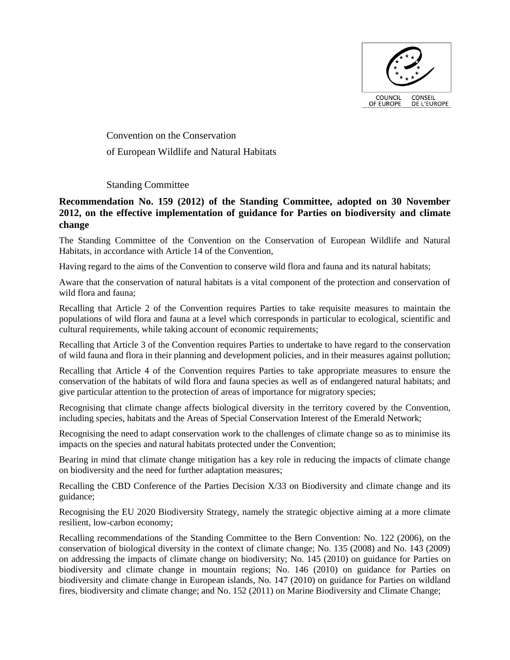

Convention on the Conservation of European Wildlife and Natural Habitats

## Standing Committee

## **Recommendation No. 159 (2012) of the Standing Committee, adopted on 30 November 2012, on the effective implementation of guidance for Parties on biodiversity and climate change**

The Standing Committee of the Convention on the Conservation of European Wildlife and Natural Habitats, in accordance with Article 14 of the Convention,

Having regard to the aims of the Convention to conserve wild flora and fauna and its natural habitats;

Aware that the conservation of natural habitats is a vital component of the protection and conservation of wild flora and fauna;

Recalling that Article 2 of the Convention requires Parties to take requisite measures to maintain the populations of wild flora and fauna at a level which corresponds in particular to ecological, scientific and cultural requirements, while taking account of economic requirements;

Recalling that Article 3 of the Convention requires Parties to undertake to have regard to the conservation of wild fauna and flora in their planning and development policies, and in their measures against pollution;

Recalling that Article 4 of the Convention requires Parties to take appropriate measures to ensure the conservation of the habitats of wild flora and fauna species as well as of endangered natural habitats; and give particular attention to the protection of areas of importance for migratory species;

Recognising that climate change affects biological diversity in the territory covered by the Convention, including species, habitats and the Areas of Special Conservation Interest of the Emerald Network;

Recognising the need to adapt conservation work to the challenges of climate change so as to minimise its impacts on the species and natural habitats protected under the Convention;

Bearing in mind that climate change mitigation has a key role in reducing the impacts of climate change on biodiversity and the need for further adaptation measures;

Recalling the CBD Conference of the Parties Decision X/33 on Biodiversity and climate change and its guidance;

Recognising the EU 2020 Biodiversity Strategy, namely the strategic objective aiming at a more climate resilient, low-carbon economy;

Recalling recommendations of the Standing Committee to the Bern Convention: No. 122 (2006), on the conservation of biological diversity in the context of climate change; No. 135 (2008) and No. 143 (2009) on addressing the impacts of climate change on biodiversity; No. 145 (2010) on guidance for Parties on biodiversity and climate change in mountain regions; No. 146 (2010) on guidance for Parties on biodiversity and climate change in European islands, No. 147 (2010) on guidance for Parties on wildland fires, biodiversity and climate change; and No. 152 (2011) on Marine Biodiversity and Climate Change;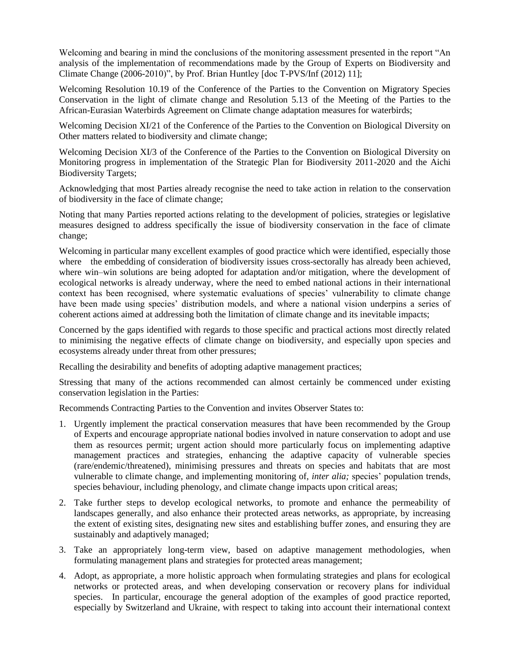Welcoming and bearing in mind the conclusions of the monitoring assessment presented in the report "An analysis of the implementation of recommendations made by the Group of Experts on Biodiversity and Climate Change (2006-2010)", by Prof. Brian Huntley [doc T-PVS/Inf (2012) 11];

Welcoming Resolution 10.19 of the Conference of the Parties to the Convention on Migratory Species Conservation in the light of climate change and Resolution 5.13 of the Meeting of the Parties to the African-Eurasian Waterbirds Agreement on Climate change adaptation measures for waterbirds;

Welcoming Decision XI/21 of the Conference of the Parties to the Convention on Biological Diversity on Other matters related to biodiversity and climate change;

Welcoming Decision XI/3 of the Conference of the Parties to the Convention on Biological Diversity on Monitoring progress in implementation of the Strategic Plan for Biodiversity 2011-2020 and the Aichi Biodiversity Targets;

Acknowledging that most Parties already recognise the need to take action in relation to the conservation of biodiversity in the face of climate change;

Noting that many Parties reported actions relating to the development of policies, strategies or legislative measures designed to address specifically the issue of biodiversity conservation in the face of climate change;

Welcoming in particular many excellent examples of good practice which were identified, especially those where the embedding of consideration of biodiversity issues cross-sectorally has already been achieved, where win–win solutions are being adopted for adaptation and/or mitigation, where the development of ecological networks is already underway, where the need to embed national actions in their international context has been recognised, where systematic evaluations of species' vulnerability to climate change have been made using species' distribution models, and where a national vision underpins a series of coherent actions aimed at addressing both the limitation of climate change and its inevitable impacts;

Concerned by the gaps identified with regards to those specific and practical actions most directly related to minimising the negative effects of climate change on biodiversity, and especially upon species and ecosystems already under threat from other pressures;

Recalling the desirability and benefits of adopting adaptive management practices;

Stressing that many of the actions recommended can almost certainly be commenced under existing conservation legislation in the Parties:

Recommends Contracting Parties to the Convention and invites Observer States to:

- 1. Urgently implement the practical conservation measures that have been recommended by the Group of Experts and encourage appropriate national bodies involved in nature conservation to adopt and use them as resources permit; urgent action should more particularly focus on implementing adaptive management practices and strategies, enhancing the adaptive capacity of vulnerable species (rare/endemic/threatened), minimising pressures and threats on species and habitats that are most vulnerable to climate change, and implementing monitoring of, *inter alia;* species' population trends, species behaviour, including phenology, and climate change impacts upon critical areas;
- 2. Take further steps to develop ecological networks, to promote and enhance the permeability of landscapes generally, and also enhance their protected areas networks, as appropriate, by increasing the extent of existing sites, designating new sites and establishing buffer zones, and ensuring they are sustainably and adaptively managed;
- 3. Take an appropriately long-term view, based on adaptive management methodologies, when formulating management plans and strategies for protected areas management;
- 4. Adopt, as appropriate, a more holistic approach when formulating strategies and plans for ecological networks or protected areas, and when developing conservation or recovery plans for individual species. In particular, encourage the general adoption of the examples of good practice reported, especially by Switzerland and Ukraine, with respect to taking into account their international context